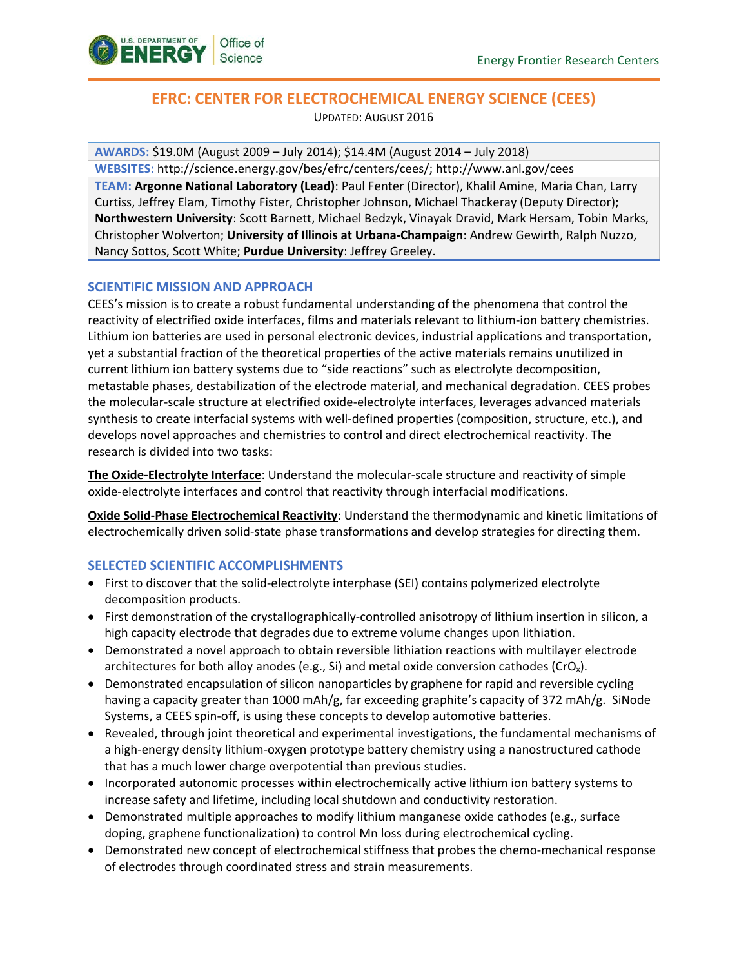

# **EFRC: CENTER FOR ELECTROCHEMICAL ENERGY SCIENCE (CEES)** UPDATED: AUGUST 2016

**AWARDS:** \$19.0M (August 2009 – July 2014); \$14.4M (August 2014 – July 2018) **WEBSITES:** [http://science.energy.gov/bes/efrc/centers/cees/;](http://science.energy.gov/bes/efrc/centers/cees/)<http://www.anl.gov/cees>

**TEAM: Argonne National Laboratory (Lead)**: Paul Fenter (Director), Khalil Amine, Maria Chan, Larry Curtiss, Jeffrey Elam, Timothy Fister, Christopher Johnson, Michael Thackeray (Deputy Director); **Northwestern University**: Scott Barnett, Michael Bedzyk, Vinayak Dravid, Mark Hersam, Tobin Marks, Christopher Wolverton; **University of Illinois at Urbana-Champaign**: Andrew Gewirth, Ralph Nuzzo, Nancy Sottos, Scott White; **Purdue University**: Jeffrey Greeley.

## **SCIENTIFIC MISSION AND APPROACH**

CEES's mission is to create a robust fundamental understanding of the phenomena that control the reactivity of electrified oxide interfaces, films and materials relevant to lithium-ion battery chemistries. Lithium ion batteries are used in personal electronic devices, industrial applications and transportation, yet a substantial fraction of the theoretical properties of the active materials remains unutilized in current lithium ion battery systems due to "side reactions" such as electrolyte decomposition, metastable phases, destabilization of the electrode material, and mechanical degradation. CEES probes the molecular-scale structure at electrified oxide-electrolyte interfaces, leverages advanced materials synthesis to create interfacial systems with well-defined properties (composition, structure, etc.), and develops novel approaches and chemistries to control and direct electrochemical reactivity. The research is divided into two tasks:

**The Oxide-Electrolyte Interface**: Understand the molecular-scale structure and reactivity of simple oxide-electrolyte interfaces and control that reactivity through interfacial modifications.

**Oxide Solid-Phase Electrochemical Reactivity**: Understand the thermodynamic and kinetic limitations of electrochemically driven solid-state phase transformations and develop strategies for directing them.

## **SELECTED SCIENTIFIC ACCOMPLISHMENTS**

- First to discover that the solid-electrolyte interphase (SEI) contains polymerized electrolyte decomposition products.
- First demonstration of the crystallographically-controlled anisotropy of lithium insertion in silicon, a high capacity electrode that degrades due to extreme volume changes upon lithiation.
- Demonstrated a novel approach to obtain reversible lithiation reactions with multilayer electrode architectures for both alloy anodes (e.g., Si) and metal oxide conversion cathodes (CrOx).
- Demonstrated encapsulation of silicon nanoparticles by graphene for rapid and reversible cycling having a capacity greater than 1000 mAh/g, far exceeding graphite's capacity of 372 mAh/g. SiNode Systems, a CEES spin-off, is using these concepts to develop automotive batteries.
- Revealed, through joint theoretical and experimental investigations, the fundamental mechanisms of a high-energy density lithium-oxygen prototype battery chemistry using a nanostructured cathode that has a much lower charge overpotential than previous studies.
- Incorporated autonomic processes within electrochemically active lithium ion battery systems to increase safety and lifetime, including local shutdown and conductivity restoration.
- Demonstrated multiple approaches to modify lithium manganese oxide cathodes (e.g., surface doping, graphene functionalization) to control Mn loss during electrochemical cycling.
- Demonstrated new concept of electrochemical stiffness that probes the chemo-mechanical response of electrodes through coordinated stress and strain measurements.